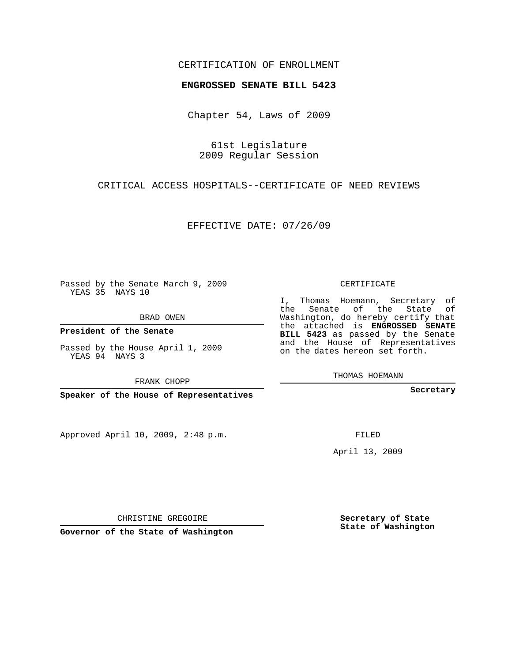### CERTIFICATION OF ENROLLMENT

### **ENGROSSED SENATE BILL 5423**

Chapter 54, Laws of 2009

61st Legislature 2009 Regular Session

CRITICAL ACCESS HOSPITALS--CERTIFICATE OF NEED REVIEWS

EFFECTIVE DATE: 07/26/09

Passed by the Senate March 9, 2009 YEAS 35 NAYS 10

BRAD OWEN

**President of the Senate**

Passed by the House April 1, 2009 YEAS 94 NAYS 3

FRANK CHOPP

**Speaker of the House of Representatives**

Approved April 10, 2009, 2:48 p.m.

CERTIFICATE

I, Thomas Hoemann, Secretary of the Senate of the State of Washington, do hereby certify that the attached is **ENGROSSED SENATE BILL 5423** as passed by the Senate and the House of Representatives on the dates hereon set forth.

THOMAS HOEMANN

**Secretary**

FILED

April 13, 2009

**Secretary of State State of Washington**

CHRISTINE GREGOIRE

**Governor of the State of Washington**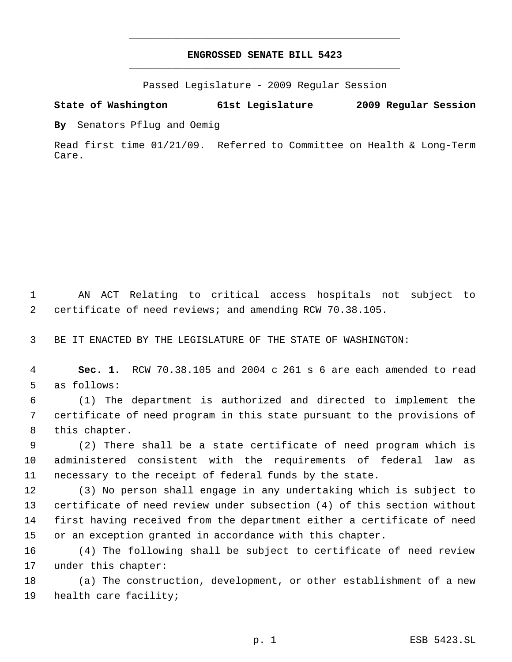## **ENGROSSED SENATE BILL 5423** \_\_\_\_\_\_\_\_\_\_\_\_\_\_\_\_\_\_\_\_\_\_\_\_\_\_\_\_\_\_\_\_\_\_\_\_\_\_\_\_\_\_\_\_\_

\_\_\_\_\_\_\_\_\_\_\_\_\_\_\_\_\_\_\_\_\_\_\_\_\_\_\_\_\_\_\_\_\_\_\_\_\_\_\_\_\_\_\_\_\_

Passed Legislature - 2009 Regular Session

**State of Washington 61st Legislature 2009 Regular Session**

**By** Senators Pflug and Oemig

Read first time 01/21/09. Referred to Committee on Health & Long-Term Care.

 AN ACT Relating to critical access hospitals not subject to certificate of need reviews; and amending RCW 70.38.105.

BE IT ENACTED BY THE LEGISLATURE OF THE STATE OF WASHINGTON:

 **Sec. 1.** RCW 70.38.105 and 2004 c 261 s 6 are each amended to read as follows:

 (1) The department is authorized and directed to implement the certificate of need program in this state pursuant to the provisions of this chapter.

 (2) There shall be a state certificate of need program which is administered consistent with the requirements of federal law as necessary to the receipt of federal funds by the state.

 (3) No person shall engage in any undertaking which is subject to certificate of need review under subsection (4) of this section without first having received from the department either a certificate of need or an exception granted in accordance with this chapter.

 (4) The following shall be subject to certificate of need review under this chapter:

 (a) The construction, development, or other establishment of a new health care facility;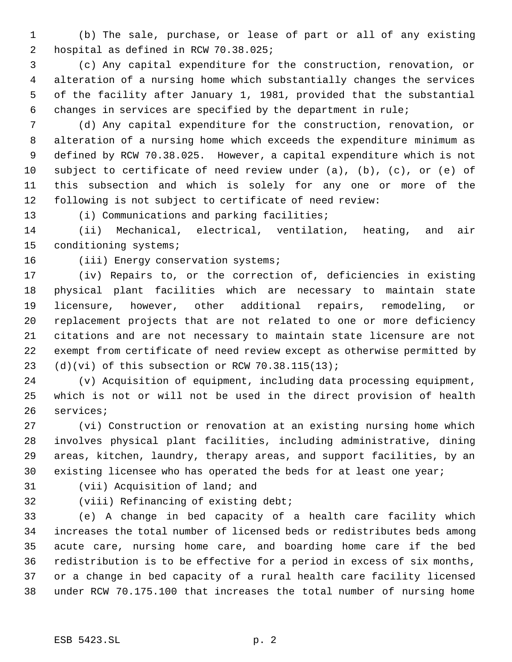(b) The sale, purchase, or lease of part or all of any existing hospital as defined in RCW 70.38.025;

 (c) Any capital expenditure for the construction, renovation, or alteration of a nursing home which substantially changes the services of the facility after January 1, 1981, provided that the substantial changes in services are specified by the department in rule;

 (d) Any capital expenditure for the construction, renovation, or alteration of a nursing home which exceeds the expenditure minimum as defined by RCW 70.38.025. However, a capital expenditure which is not subject to certificate of need review under (a), (b), (c), or (e) of this subsection and which is solely for any one or more of the following is not subject to certificate of need review:

13 (i) Communications and parking facilities;

 (ii) Mechanical, electrical, ventilation, heating, and air conditioning systems;

# 16 (iii) Energy conservation systems;

 (iv) Repairs to, or the correction of, deficiencies in existing physical plant facilities which are necessary to maintain state licensure, however, other additional repairs, remodeling, or replacement projects that are not related to one or more deficiency citations and are not necessary to maintain state licensure are not exempt from certificate of need review except as otherwise permitted by 23 (d)(vi) of this subsection or RCW  $70.38.115(13)$ ;

 (v) Acquisition of equipment, including data processing equipment, which is not or will not be used in the direct provision of health services;

 (vi) Construction or renovation at an existing nursing home which involves physical plant facilities, including administrative, dining areas, kitchen, laundry, therapy areas, and support facilities, by an existing licensee who has operated the beds for at least one year;

(vii) Acquisition of land; and

(viii) Refinancing of existing debt;

 (e) A change in bed capacity of a health care facility which increases the total number of licensed beds or redistributes beds among acute care, nursing home care, and boarding home care if the bed redistribution is to be effective for a period in excess of six months, or a change in bed capacity of a rural health care facility licensed under RCW 70.175.100 that increases the total number of nursing home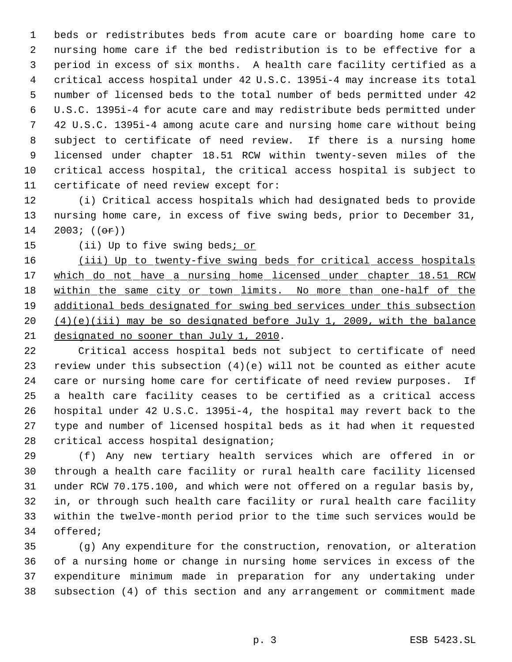beds or redistributes beds from acute care or boarding home care to nursing home care if the bed redistribution is to be effective for a period in excess of six months. A health care facility certified as a critical access hospital under 42 U.S.C. 1395i-4 may increase its total number of licensed beds to the total number of beds permitted under 42 U.S.C. 1395i-4 for acute care and may redistribute beds permitted under 42 U.S.C. 1395i-4 among acute care and nursing home care without being subject to certificate of need review. If there is a nursing home licensed under chapter 18.51 RCW within twenty-seven miles of the critical access hospital, the critical access hospital is subject to certificate of need review except for:

 (i) Critical access hospitals which had designated beds to provide nursing home care, in excess of five swing beds, prior to December 31, 2003; (( $\Theta$ r))

15 (ii) Up to five swing beds<sub>i Or</sub>

16 (iii) Up to twenty-five swing beds for critical access hospitals 17 which do not have a nursing home licensed under chapter 18.51 RCW 18 within the same city or town limits. No more than one-half of the additional beds designated for swing bed services under this subsection (4)(e)(iii) may be so designated before July 1, 2009, with the balance designated no sooner than July 1, 2010.

 Critical access hospital beds not subject to certificate of need review under this subsection (4)(e) will not be counted as either acute care or nursing home care for certificate of need review purposes. If a health care facility ceases to be certified as a critical access hospital under 42 U.S.C. 1395i-4, the hospital may revert back to the type and number of licensed hospital beds as it had when it requested critical access hospital designation;

 (f) Any new tertiary health services which are offered in or through a health care facility or rural health care facility licensed under RCW 70.175.100, and which were not offered on a regular basis by, in, or through such health care facility or rural health care facility within the twelve-month period prior to the time such services would be offered;

 (g) Any expenditure for the construction, renovation, or alteration of a nursing home or change in nursing home services in excess of the expenditure minimum made in preparation for any undertaking under subsection (4) of this section and any arrangement or commitment made